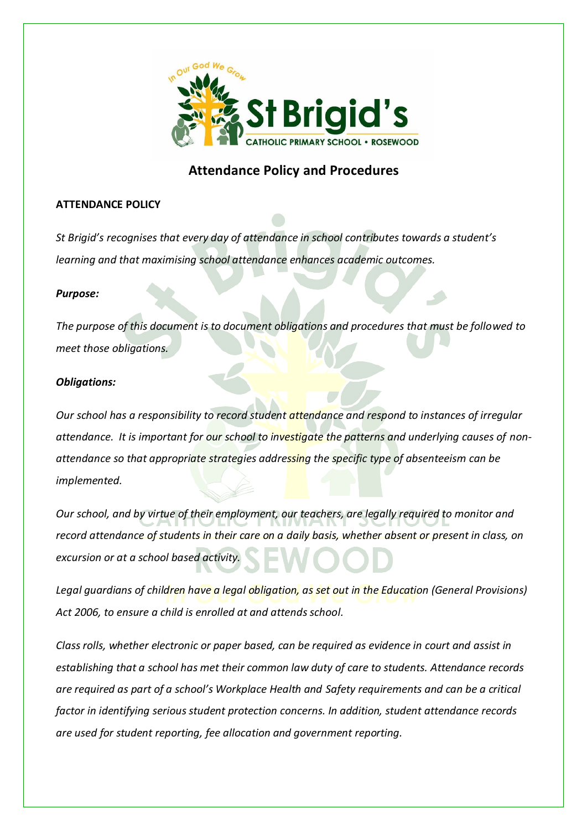

# **Attendance Policy and Procedures**

## **ATTENDANCE POLICY**

*St Brigid's recognises that every day of attendance in school contributes towards a student's learning and that maximising school attendance enhances academic outcomes.* 

### *Purpose:*

*The purpose of this document is to document obligations and procedures that must be followed to meet those obligations.*

## *Obligations:*

*Our school has a responsibility to record student attendance and respond to instances of irregular attendance. It is important for our school to investigate the patterns and underlying causes of nonattendance so that appropriate strategies addressing the specific type of absenteeism can be implemented.*

*Our school, and by virtue of their employment, our teachers, are legally required to monitor and record attendance of students in their care on a daily basis, whether absent or present in class, on excursion or at a school based activity.* 

*Legal guardians of children have a legal obligation, as set out in the Education (General Provisions) Act 2006, to ensure a child is enrolled at and attends school.* 

*Class rolls, whether electronic or paper based, can be required as evidence in court and assist in establishing that a school has met their common law duty of care to students. Attendance records are required as part of a school's Workplace Health and Safety requirements and can be a critical factor in identifying serious student protection concerns. In addition, student attendance records are used for student reporting, fee allocation and government reporting.*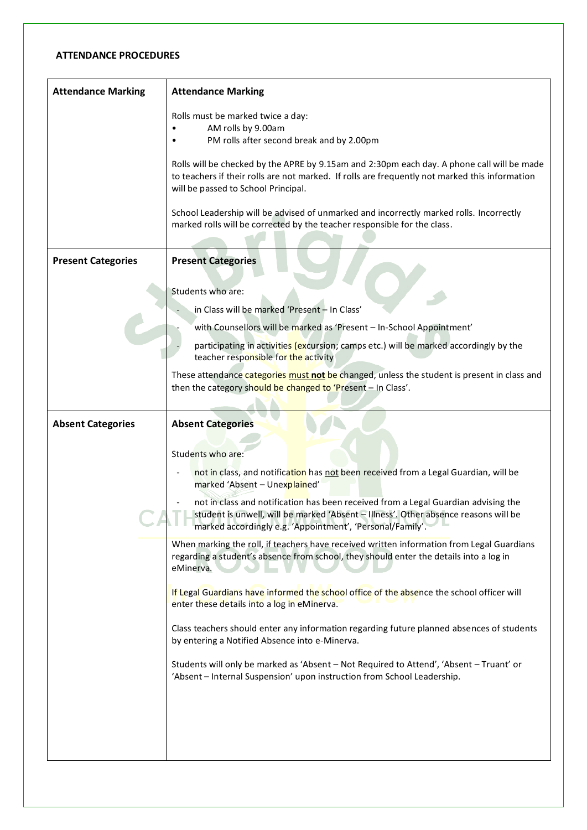#### **ATTENDANCE PROCEDURES**

| <b>Attendance Marking</b> | <b>Attendance Marking</b>                                                                                                                                                                                                              |
|---------------------------|----------------------------------------------------------------------------------------------------------------------------------------------------------------------------------------------------------------------------------------|
|                           | Rolls must be marked twice a day:                                                                                                                                                                                                      |
|                           | AM rolls by 9.00am                                                                                                                                                                                                                     |
|                           | PM rolls after second break and by 2.00pm                                                                                                                                                                                              |
|                           | Rolls will be checked by the APRE by 9.15am and 2:30pm each day. A phone call will be made<br>to teachers if their rolls are not marked. If rolls are frequently not marked this information<br>will be passed to School Principal.    |
|                           | School Leadership will be advised of unmarked and incorrectly marked rolls. Incorrectly<br>marked rolls will be corrected by the teacher responsible for the class.                                                                    |
| <b>Present Categories</b> | <b>Present Categories</b>                                                                                                                                                                                                              |
|                           |                                                                                                                                                                                                                                        |
|                           | Students who are:                                                                                                                                                                                                                      |
|                           | in Class will be marked 'Present - In Class'                                                                                                                                                                                           |
|                           | with Counsellors will be marked as 'Present - In-School Appointment'                                                                                                                                                                   |
|                           | participating in activities (excursion; camps etc.) will be marked accordingly by the<br>teacher responsible for the activity                                                                                                          |
|                           | These attendance categories must not be changed, unless the student is present in class and<br>then the category should be changed to 'Present - In Class'.                                                                            |
|                           |                                                                                                                                                                                                                                        |
| <b>Absent Categories</b>  | <b>Absent Categories</b>                                                                                                                                                                                                               |
|                           | Students who are:                                                                                                                                                                                                                      |
|                           | not in class, and notification has not been received from a Legal Guardian, will be<br>marked 'Absent - Unexplained'                                                                                                                   |
|                           | not in class and notification has been received from a Legal Guardian advising the<br>student is unwell, will be marked 'Absent - Illness'. Other absence reasons will be<br>marked accordingly e.g. 'Appointment', 'Personal/Family'. |
|                           | When marking the roll, if teachers have received written information from Legal Guardians<br>regarding a student's absence from school, they should enter the details into a log in<br>eMinerva.                                       |
|                           | If Legal Guardians have informed the school office of the absence the school officer will<br>enter these details into a log in eMinerva.                                                                                               |
|                           | Class teachers should enter any information regarding future planned absences of students<br>by entering a Notified Absence into e-Minerva.                                                                                            |
|                           | Students will only be marked as 'Absent - Not Required to Attend', 'Absent - Truant' or<br>'Absent - Internal Suspension' upon instruction from School Leadership.                                                                     |
|                           |                                                                                                                                                                                                                                        |
|                           |                                                                                                                                                                                                                                        |
|                           |                                                                                                                                                                                                                                        |
|                           |                                                                                                                                                                                                                                        |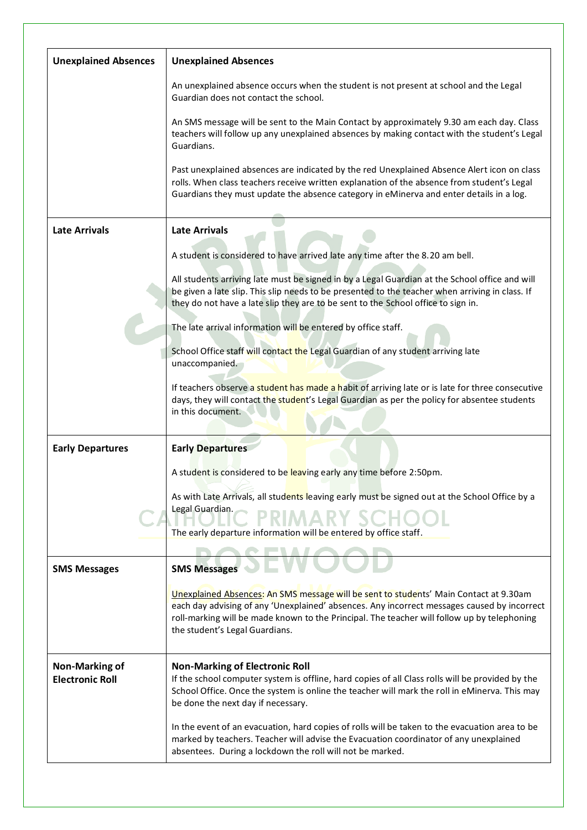| <b>Unexplained Absences</b>                     | <b>Unexplained Absences</b>                                                                                                                                                                                                                                                                                           |
|-------------------------------------------------|-----------------------------------------------------------------------------------------------------------------------------------------------------------------------------------------------------------------------------------------------------------------------------------------------------------------------|
|                                                 | An unexplained absence occurs when the student is not present at school and the Legal<br>Guardian does not contact the school.                                                                                                                                                                                        |
|                                                 | An SMS message will be sent to the Main Contact by approximately 9.30 am each day. Class<br>teachers will follow up any unexplained absences by making contact with the student's Legal<br>Guardians.                                                                                                                 |
|                                                 | Past unexplained absences are indicated by the red Unexplained Absence Alert icon on class<br>rolls. When class teachers receive written explanation of the absence from student's Legal<br>Guardians they must update the absence category in eMinerva and enter details in a log.                                   |
| <b>Late Arrivals</b>                            | <b>Late Arrivals</b>                                                                                                                                                                                                                                                                                                  |
|                                                 | A student is considered to have arrived late any time after the 8.20 am bell.                                                                                                                                                                                                                                         |
|                                                 | All students arriving late must be signed in by a Legal Guardian at the School office and will<br>be given a late slip. This slip needs to be presented to the teacher when arriving in class. If<br>they do not have a late slip they are to be sent to the School office to sign in.                                |
|                                                 | The late arrival information will be entered by office staff.                                                                                                                                                                                                                                                         |
|                                                 | School Office staff will contact the Legal Guardian of any student arriving late<br>unaccompanied.                                                                                                                                                                                                                    |
|                                                 | If teachers observe a student has made a habit of arriving late or is late for three consecutive<br>days, they will contact the student's Legal Guardian as per the policy for absentee students<br>in this document.                                                                                                 |
| <b>Early Departures</b>                         | <b>Early Departures</b>                                                                                                                                                                                                                                                                                               |
|                                                 | A student is considered to be leaving early any time before 2:50pm.                                                                                                                                                                                                                                                   |
|                                                 | As with Late Arrivals, all students leaving early must be signed out at the School Office by a                                                                                                                                                                                                                        |
|                                                 | Legal Guardian.<br><b>PRIMARY SCH</b>                                                                                                                                                                                                                                                                                 |
|                                                 | The early departure information will be entered by office staff.                                                                                                                                                                                                                                                      |
| <b>SMS Messages</b>                             | <b>SMS Messages</b>                                                                                                                                                                                                                                                                                                   |
|                                                 | Unexplained Absences: An SMS message will be sent to students' Main Contact at 9.30am<br>each day advising of any 'Unexplained' absences. Any incorrect messages caused by incorrect<br>roll-marking will be made known to the Principal. The teacher will follow up by telephoning<br>the student's Legal Guardians. |
| <b>Non-Marking of</b><br><b>Electronic Roll</b> | <b>Non-Marking of Electronic Roll</b><br>If the school computer system is offline, hard copies of all Class rolls will be provided by the<br>School Office. Once the system is online the teacher will mark the roll in eMinerva. This may<br>be done the next day if necessary.                                      |
|                                                 | In the event of an evacuation, hard copies of rolls will be taken to the evacuation area to be<br>marked by teachers. Teacher will advise the Evacuation coordinator of any unexplained<br>absentees. During a lockdown the roll will not be marked.                                                                  |